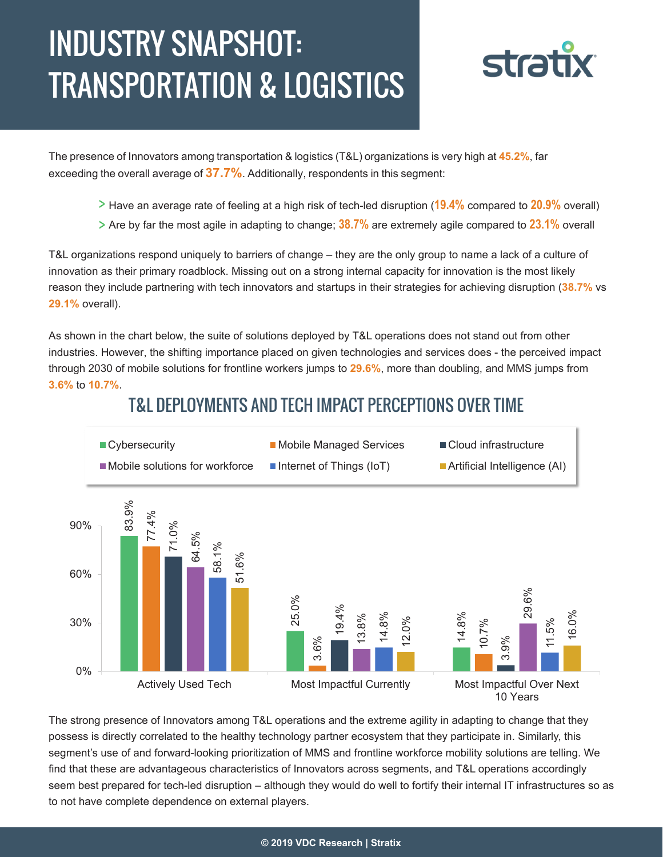# INDUSTRY SNAPSHOT: TRANSPORTATION & LOGISTICS



The presence of Innovators among transportation & logistics (T&L) organizations is very high at **45.2%**, far exceeding the overall average of **37.7%**. Additionally, respondents in this segment:

- Have an average rate of feeling at a high risk of tech-led disruption (**19.4%** compared to **20.9%** overall)
- Are by far the most agile in adapting to change; **38.7%** are extremely agile compared to **23.1%** overall

T&L organizations respond uniquely to barriers of change – they are the only group to name a lack of a culture of innovation as their primary roadblock. Missing out on a strong internal capacity for innovation is the most likely reason they include partnering with tech innovators and startups in their strategies for achieving disruption (**38.7%** vs **29.1%** overall).

As shown in the chart below, the suite of solutions deployed by T&L operations does not stand out from other industries. However, the shifting importance placed on given technologies and services does - the perceived impact through 2030 of mobile solutions for frontline workers jumps to **29.6%**, more than doubling, and MMS jumps from **3.6%** to **10.7%**.

#### 90%<br>  $\frac{8}{10}$ <br>  $\frac{8}{10}$ <br>  $\frac{8}{10}$ <br>  $\frac{8}{10}$ <br>  $\frac{8}{10}$ <br>  $\frac{8}{10}$ <br>  $\frac{8}{10}$ <br>  $\frac{8}{10}$ <br>  $\frac{8}{10}$ <br>  $\frac{8}{10}$ <br>  $\frac{8}{10}$ <br>  $\frac{8}{10}$ <br>  $\frac{8}{10}$ <br>  $\frac{8}{10}$ <br>  $\frac{8}{10}$ <br>  $\frac{8}{10}$ <br>  $\frac{8}{10}$ <br>  $\frac{8}{10}$ <br> 14.8% 77.4% 3.6% 10.7% 71.0% 19.4% 3.9% 64.5% 13.8% 29.6% 58.1% 14.8% 11.5% 51.6% 12.0% 16.0% 0% 30% 60% 90% Actively Used Tech Most Impactful Currently Most Impactful Over Next ■ Cybersecurity **Mobile Managed Services** ■ Cloud infrastructure  $\blacksquare$  Mobile solutions for workforce  $\blacksquare$  Internet of Things (IoT)  $\blacksquare$  Artificial Intelligence (AI)

## T&L DEPLOYMENTS AND TECH IMPACT PERCEPTIONS OVER TIME

The strong presence of Innovators among T&L operations and the extreme agility in adapting to change that they possess is directly correlated to the healthy technology partner ecosystem that they participate in. Similarly, this segment's use of and forward-looking prioritization of MMS and frontline workforce mobility solutions are telling. We

10 Years

find that these are advantageous characteristics of Innovators across segments, and T&L operations accordingly seem best prepared for tech-led disruption – although they would do well to fortify their internal IT infrastructures so as